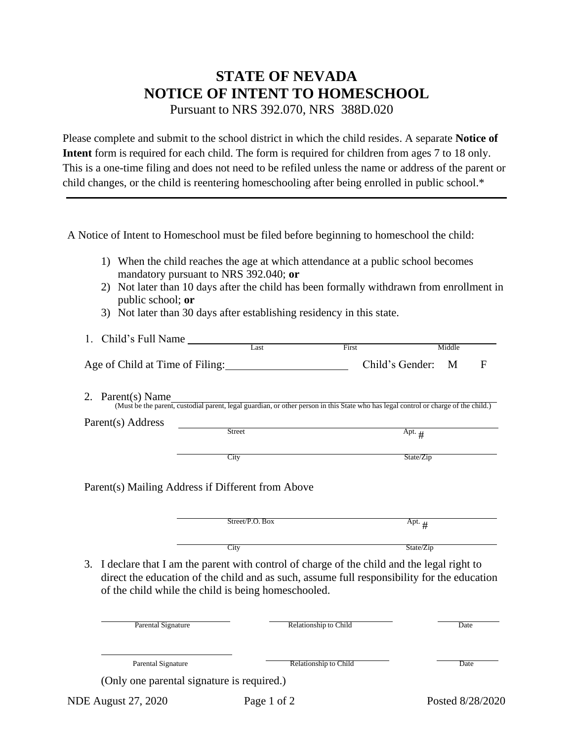## **STATE OF NEVADA NOTICE OF INTENT TO HOMESCHOOL**

Pursuant to NRS 392.070, NRS 388D.020

Please complete and submit to the school district in which the child resides. A separate **Notice of Intent** form is required for each child. The form is required for children from ages 7 to 18 only. This is a one-time filing and does not need to be refiled unless the name or address of the parent or child changes, or the child is reentering homeschooling after being enrolled in public school.\*

A Notice of Intent to Homeschool must be filed before beginning to homeschool the child:

- 1) When the child reaches the age at which attendance at a public school becomes mandatory pursuant to NRS 392.040; **or**
- 2) Not later than 10 days after the child has been formally withdrawn from enrollment in public school; **or**
- 3) Not later than 30 days after establishing residency in this state.

| 1. Child's Full Name            |      |                   |        |  |
|---------------------------------|------|-------------------|--------|--|
|                                 | .ast | First             | Middle |  |
| Age of Child at Time of Filing: |      | Child's Gender: M |        |  |

2. Parent(s) Name (Must be the parent, custodial parent, legal guardian, or other person in this State who has legal control or charge of the child.)

| Parent(s) Address |  |
|-------------------|--|
|-------------------|--|

City State/Zip

Parent(s) Mailing Address if Different from Above

| Street/P.O. Box | Apt. $\mu$ |
|-----------------|------------|
| City            | State/Zip  |

Street Apt. #

3. I declare that I am the parent with control of charge of the child and the legal right to direct the education of the child and as such, assume full responsibility for the education of the child while the child is being homeschooled.

| Parental Signature                         | Relationship to Child | Date |
|--------------------------------------------|-----------------------|------|
| <b>Parental Signature</b>                  | Relationship to Child | Date |
| (Only one parental signature is required.) |                       |      |